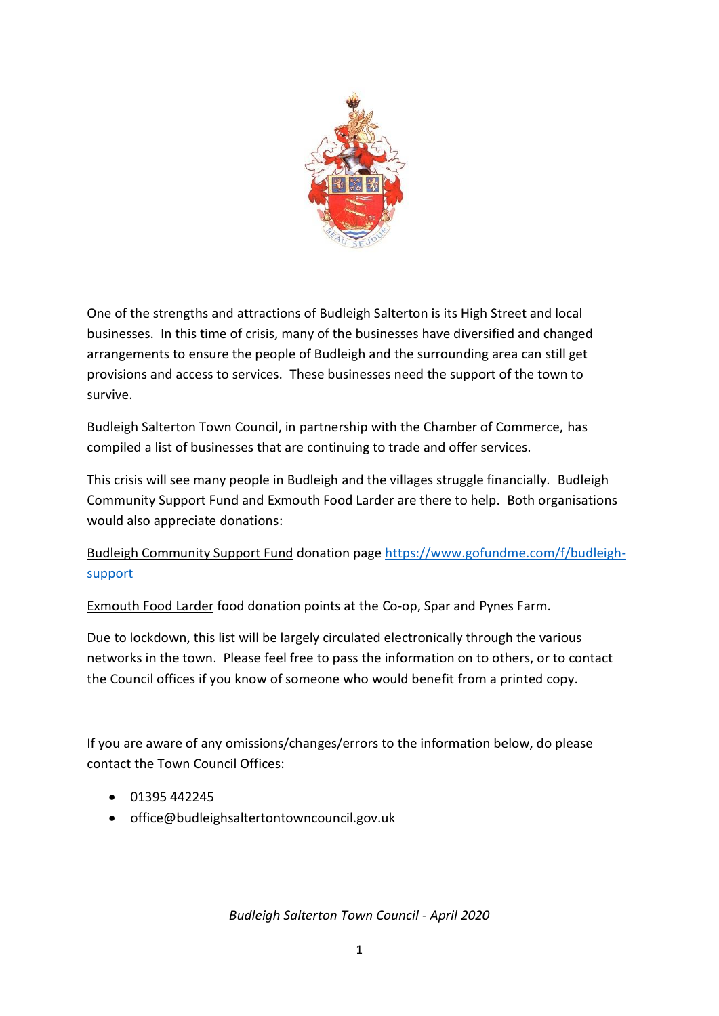

One of the strengths and attractions of Budleigh Salterton is its High Street and local businesses. In this time of crisis, many of the businesses have diversified and changed arrangements to ensure the people of Budleigh and the surrounding area can still get provisions and access to services. These businesses need the support of the town to survive.

Budleigh Salterton Town Council, in partnership with the Chamber of Commerce, has compiled a list of businesses that are continuing to trade and offer services.

This crisis will see many people in Budleigh and the villages struggle financially. Budleigh Community Support Fund and Exmouth Food Larder are there to help. Both organisations would also appreciate donations:

Budleigh Community Support Fund donation pag[e https://www.gofundme.com/f/budleigh](https://www.gofundme.com/f/budleigh-support)[support](https://www.gofundme.com/f/budleigh-support)

Exmouth Food Larder food donation points at the Co-op, Spar and Pynes Farm.

Due to lockdown, this list will be largely circulated electronically through the various networks in the town. Please feel free to pass the information on to others, or to contact the Council offices if you know of someone who would benefit from a printed copy.

If you are aware of any omissions/changes/errors to the information below, do please contact the Town Council Offices:

- $01395442245$
- office@budleighsaltertontowncouncil.gov.uk

*Budleigh Salterton Town Council - April 2020*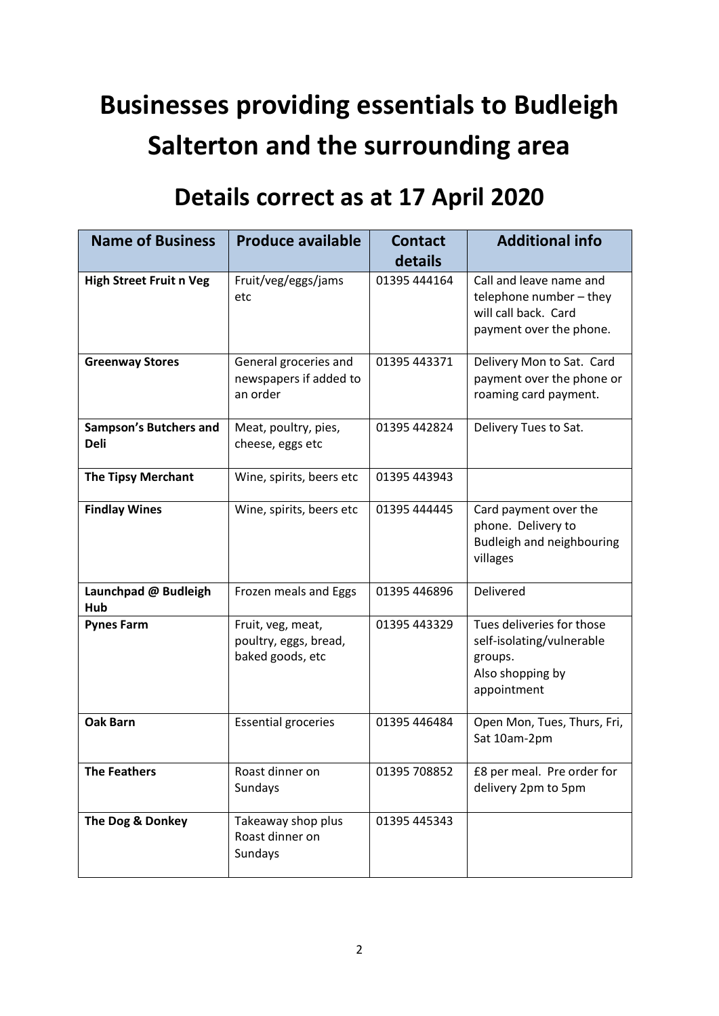## **Businesses providing essentials to Budleigh Salterton and the surrounding area**

## **Details correct as at 17 April 2020**

| <b>Name of Business</b>                      | <b>Produce available</b>                                       | <b>Contact</b><br>details | <b>Additional info</b>                                                                               |
|----------------------------------------------|----------------------------------------------------------------|---------------------------|------------------------------------------------------------------------------------------------------|
| <b>High Street Fruit n Veg</b>               | Fruit/veg/eggs/jams                                            | 01395 444164              | Call and leave name and                                                                              |
|                                              | etc                                                            |                           | telephone number - they<br>will call back. Card<br>payment over the phone.                           |
| <b>Greenway Stores</b>                       | General groceries and<br>newspapers if added to<br>an order    | 01395 443371              | Delivery Mon to Sat. Card<br>payment over the phone or<br>roaming card payment.                      |
| <b>Sampson's Butchers and</b><br><b>Deli</b> | Meat, poultry, pies,<br>cheese, eggs etc                       | 01395 442824              | Delivery Tues to Sat.                                                                                |
| <b>The Tipsy Merchant</b>                    | Wine, spirits, beers etc                                       | 01395 443943              |                                                                                                      |
| <b>Findlay Wines</b>                         | Wine, spirits, beers etc                                       | 01395 444445              | Card payment over the<br>phone. Delivery to<br>Budleigh and neighbouring<br>villages                 |
| Launchpad @ Budleigh<br>Hub                  | Frozen meals and Eggs                                          | 01395 446896              | Delivered                                                                                            |
| <b>Pynes Farm</b>                            | Fruit, veg, meat,<br>poultry, eggs, bread,<br>baked goods, etc | 01395 443329              | Tues deliveries for those<br>self-isolating/vulnerable<br>groups.<br>Also shopping by<br>appointment |
| <b>Oak Barn</b>                              | <b>Essential groceries</b>                                     | 01395 446484              | Open Mon, Tues, Thurs, Fri,<br>Sat 10am-2pm                                                          |
| The Feathers                                 | Roast dinner on<br>Sundays                                     | 01395 708852              | £8 per meal. Pre order for<br>delivery 2pm to 5pm                                                    |
| The Dog & Donkey                             | Takeaway shop plus<br>Roast dinner on<br>Sundays               | 01395 445343              |                                                                                                      |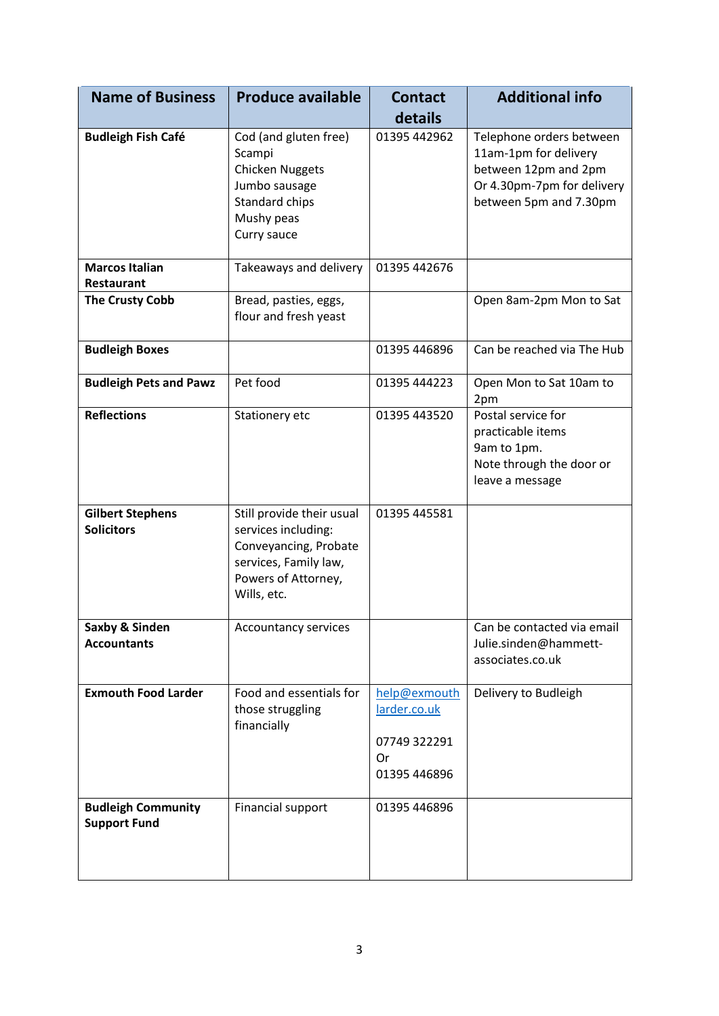| <b>Name of Business</b>                          | <b>Produce available</b>                                                                                                                 | <b>Contact</b><br>details                                          | <b>Additional info</b>                                                                                                            |
|--------------------------------------------------|------------------------------------------------------------------------------------------------------------------------------------------|--------------------------------------------------------------------|-----------------------------------------------------------------------------------------------------------------------------------|
| <b>Budleigh Fish Café</b>                        | Cod (and gluten free)<br>Scampi<br><b>Chicken Nuggets</b><br>Jumbo sausage<br>Standard chips<br>Mushy peas<br>Curry sauce                | 01395 442962                                                       | Telephone orders between<br>11am-1pm for delivery<br>between 12pm and 2pm<br>Or 4.30pm-7pm for delivery<br>between 5pm and 7.30pm |
| <b>Marcos Italian</b><br><b>Restaurant</b>       | Takeaways and delivery                                                                                                                   | 01395 442676                                                       |                                                                                                                                   |
| <b>The Crusty Cobb</b>                           | Bread, pasties, eggs,<br>flour and fresh yeast                                                                                           |                                                                    | Open 8am-2pm Mon to Sat                                                                                                           |
| <b>Budleigh Boxes</b>                            |                                                                                                                                          | 01395 446896                                                       | Can be reached via The Hub                                                                                                        |
| <b>Budleigh Pets and Pawz</b>                    | Pet food                                                                                                                                 | 01395 444223                                                       | Open Mon to Sat 10am to<br>2pm                                                                                                    |
| <b>Reflections</b>                               | Stationery etc                                                                                                                           | 01395 443520                                                       | Postal service for<br>practicable items<br>9am to 1pm.<br>Note through the door or<br>leave a message                             |
| <b>Gilbert Stephens</b><br><b>Solicitors</b>     | Still provide their usual<br>services including:<br>Conveyancing, Probate<br>services, Family law,<br>Powers of Attorney,<br>Wills, etc. | 01395 445581                                                       |                                                                                                                                   |
| Saxby & Sinden<br><b>Accountants</b>             | Accountancy services                                                                                                                     |                                                                    | Can be contacted via email<br>Julie.sinden@hammett-<br>associates.co.uk                                                           |
| <b>Exmouth Food Larder</b>                       | Food and essentials for<br>those struggling<br>financially                                                                               | help@exmouth<br>larder.co.uk<br>07749 322291<br>Or<br>01395 446896 | Delivery to Budleigh                                                                                                              |
| <b>Budleigh Community</b><br><b>Support Fund</b> | Financial support                                                                                                                        | 01395 446896                                                       |                                                                                                                                   |